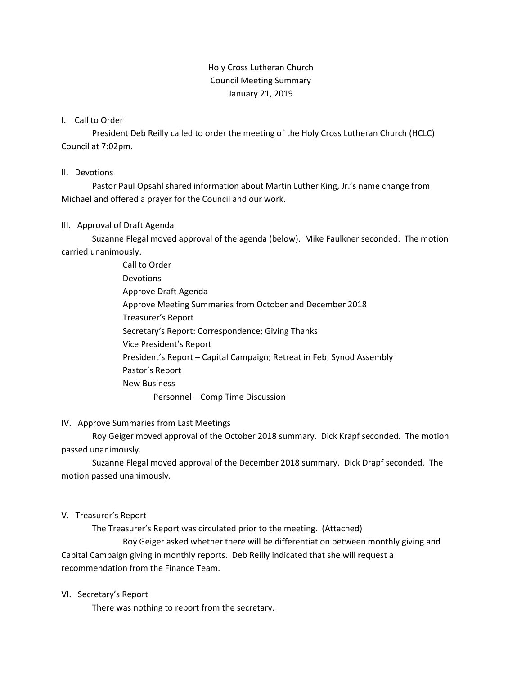## Holy Cross Lutheran Church Council Meeting Summary January 21, 2019

### I. Call to Order

President Deb Reilly called to order the meeting of the Holy Cross Lutheran Church (HCLC) Council at 7:02pm.

### II. Devotions

Pastor Paul Opsahl shared information about Martin Luther King, Jr.'s name change from Michael and offered a prayer for the Council and our work.

## III. Approval of Draft Agenda

Suzanne Flegal moved approval of the agenda (below). Mike Faulkner seconded. The motion carried unanimously.

> Call to Order Devotions Approve Draft Agenda Approve Meeting Summaries from October and December 2018 Treasurer's Report Secretary's Report: Correspondence; Giving Thanks Vice President's Report President's Report – Capital Campaign; Retreat in Feb; Synod Assembly Pastor's Report New Business Personnel – Comp Time Discussion

#### IV. Approve Summaries from Last Meetings

Roy Geiger moved approval of the October 2018 summary. Dick Krapf seconded. The motion passed unanimously.

Suzanne Flegal moved approval of the December 2018 summary. Dick Drapf seconded. The motion passed unanimously.

#### V. Treasurer's Report

The Treasurer's Report was circulated prior to the meeting. (Attached)

Roy Geiger asked whether there will be differentiation between monthly giving and Capital Campaign giving in monthly reports. Deb Reilly indicated that she will request a recommendation from the Finance Team.

#### VI. Secretary's Report

There was nothing to report from the secretary.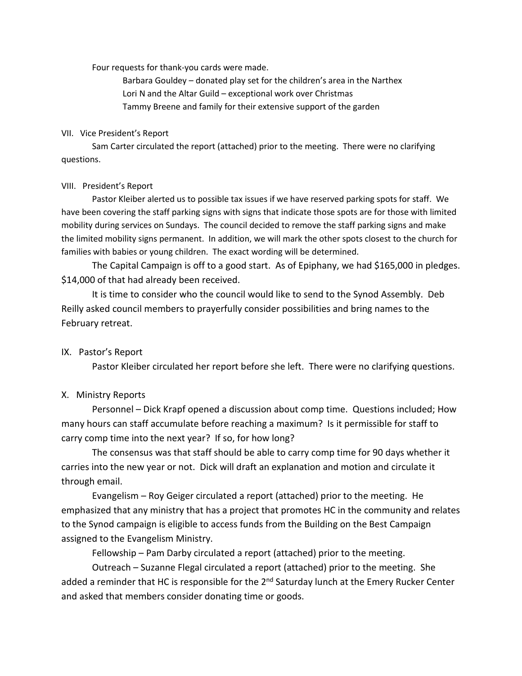Four requests for thank-you cards were made.

Barbara Gouldey – donated play set for the children's area in the Narthex Lori N and the Altar Guild – exceptional work over Christmas Tammy Breene and family for their extensive support of the garden

#### VII. Vice President's Report

Sam Carter circulated the report (attached) prior to the meeting. There were no clarifying questions.

#### VIII. President's Report

Pastor Kleiber alerted us to possible tax issues if we have reserved parking spots for staff. We have been covering the staff parking signs with signs that indicate those spots are for those with limited mobility during services on Sundays. The council decided to remove the staff parking signs and make the limited mobility signs permanent. In addition, we will mark the other spots closest to the church for families with babies or young children. The exact wording will be determined.

The Capital Campaign is off to a good start. As of Epiphany, we had \$165,000 in pledges. \$14,000 of that had already been received.

It is time to consider who the council would like to send to the Synod Assembly. Deb Reilly asked council members to prayerfully consider possibilities and bring names to the February retreat.

## IX. Pastor's Report

Pastor Kleiber circulated her report before she left. There were no clarifying questions.

## X. Ministry Reports

Personnel – Dick Krapf opened a discussion about comp time. Questions included; How many hours can staff accumulate before reaching a maximum? Is it permissible for staff to carry comp time into the next year? If so, for how long?

The consensus was that staff should be able to carry comp time for 90 days whether it carries into the new year or not. Dick will draft an explanation and motion and circulate it through email.

Evangelism – Roy Geiger circulated a report (attached) prior to the meeting. He emphasized that any ministry that has a project that promotes HC in the community and relates to the Synod campaign is eligible to access funds from the Building on the Best Campaign assigned to the Evangelism Ministry.

Fellowship – Pam Darby circulated a report (attached) prior to the meeting.

Outreach – Suzanne Flegal circulated a report (attached) prior to the meeting. She added a reminder that HC is responsible for the  $2^{nd}$  Saturday lunch at the Emery Rucker Center and asked that members consider donating time or goods.